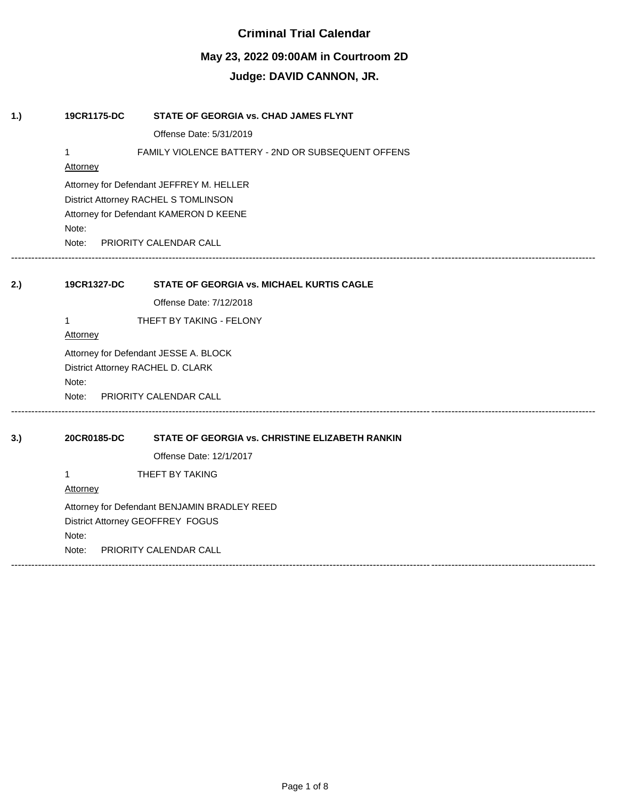# **Criminal Trial Calendar**

# **May 23, 2022 09:00AM in Courtroom 2D**

# **Judge: DAVID CANNON, JR.**

| 1.) | 19CR1175-DC                       | STATE OF GEORGIA vs. CHAD JAMES FLYNT              |  |  |
|-----|-----------------------------------|----------------------------------------------------|--|--|
|     |                                   | Offense Date: 5/31/2019                            |  |  |
|     | 1                                 | FAMILY VIOLENCE BATTERY - 2ND OR SUBSEQUENT OFFENS |  |  |
|     | <b>Attorney</b>                   |                                                    |  |  |
|     |                                   | Attorney for Defendant JEFFREY M. HELLER           |  |  |
|     |                                   | District Attorney RACHEL S TOMLINSON               |  |  |
|     |                                   | Attorney for Defendant KAMERON D KEENE             |  |  |
|     | Note:                             |                                                    |  |  |
|     | Note:                             | PRIORITY CALENDAR CALL                             |  |  |
|     |                                   |                                                    |  |  |
| 2.) | 19CR1327-DC                       | <b>STATE OF GEORGIA vs. MICHAEL KURTIS CAGLE</b>   |  |  |
|     |                                   | Offense Date: 7/12/2018                            |  |  |
|     | 1                                 | THEFT BY TAKING - FELONY                           |  |  |
|     | Attorney                          |                                                    |  |  |
|     |                                   | Attorney for Defendant JESSE A. BLOCK              |  |  |
|     | District Attorney RACHEL D. CLARK |                                                    |  |  |
|     | Note:                             |                                                    |  |  |
|     |                                   | Note: PRIORITY CALENDAR CALL                       |  |  |
| 3.) | 20CR0185-DC                       | STATE OF GEORGIA vs. CHRISTINE ELIZABETH RANKIN    |  |  |
|     |                                   |                                                    |  |  |
|     |                                   | Offense Date: 12/1/2017                            |  |  |
|     | 1                                 | THEFT BY TAKING                                    |  |  |
|     | Attorney                          |                                                    |  |  |
|     |                                   | Attorney for Defendant BENJAMIN BRADLEY REED       |  |  |
|     | District Attorney GEOFFREY FOGUS  |                                                    |  |  |
|     | Note:                             |                                                    |  |  |
|     | Note:                             | PRIORITY CALENDAR CALL                             |  |  |

------------------------------------------------------------------------------------------------------------------------------------------------------------------------------

Page 1 of 8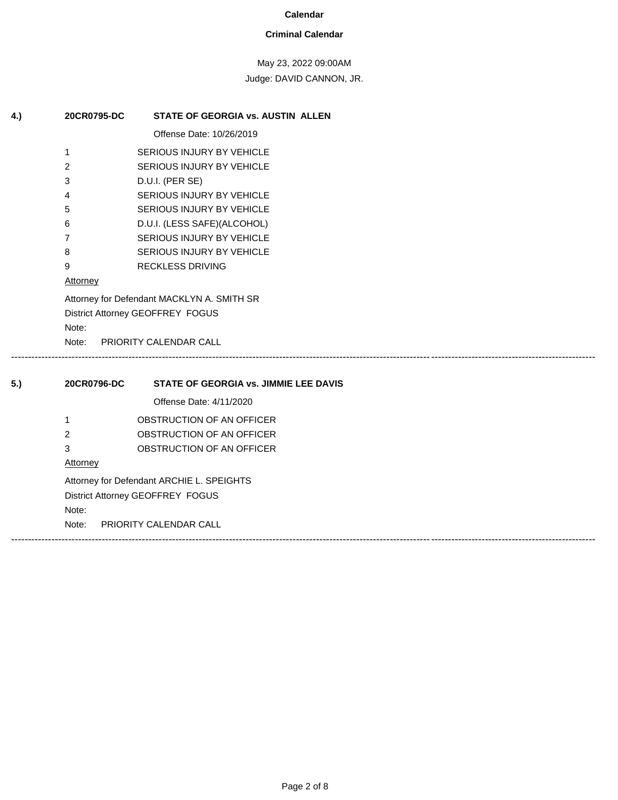#### **Criminal Calendar**

May 23, 2022 09:00AM

Judge: DAVID CANNON, JR.

| 4.) | 20CR0795-DC                                                                    | <b>STATE OF GEORGIA vs. AUSTIN ALLEN</b>     |  |
|-----|--------------------------------------------------------------------------------|----------------------------------------------|--|
|     |                                                                                | Offense Date: 10/26/2019                     |  |
|     | 1                                                                              | SERIOUS INJURY BY VEHICLE                    |  |
|     | 2                                                                              | SERIOUS INJURY BY VEHICLE                    |  |
|     | 3                                                                              | D.U.I. (PER SE)                              |  |
|     | 4                                                                              | SERIOUS INJURY BY VEHICLE                    |  |
|     | 5                                                                              | SERIOUS INJURY BY VEHICLE                    |  |
|     | 6                                                                              | D.U.I. (LESS SAFE)(ALCOHOL)                  |  |
|     | 7                                                                              | SERIOUS INJURY BY VEHICLE                    |  |
|     | 8                                                                              | SERIOUS INJURY BY VEHICLE                    |  |
|     | 9                                                                              | <b>RECKLESS DRIVING</b>                      |  |
|     | <b>Attorney</b>                                                                |                                              |  |
|     | Attorney for Defendant MACKLYN A. SMITH SR<br>District Attorney GEOFFREY FOGUS |                                              |  |
|     |                                                                                |                                              |  |
|     | Note:                                                                          |                                              |  |
|     | PRIORITY CALENDAR CALL<br>Note:                                                |                                              |  |
| 5.) | 20CR0796-DC                                                                    | <b>STATE OF GEORGIA vs. JIMMIE LEE DAVIS</b> |  |
|     |                                                                                | Offense Date: 4/11/2020                      |  |
|     | 1                                                                              | OBSTRUCTION OF AN OFFICER                    |  |
|     | 2                                                                              | OBSTRUCTION OF AN OFFICER                    |  |
|     | 3                                                                              | OBSTRUCTION OF AN OFFICER                    |  |
|     | <b>Attorney</b>                                                                |                                              |  |
|     | Attorney for Defendant ARCHIE L. SPEIGHTS                                      |                                              |  |

District Attorney GEOFFREY FOGUS

Note:

Note: PRIORITY CALENDAR CALL

------------------------------------------------------------------------------------------------------------------------------------------------------------------------------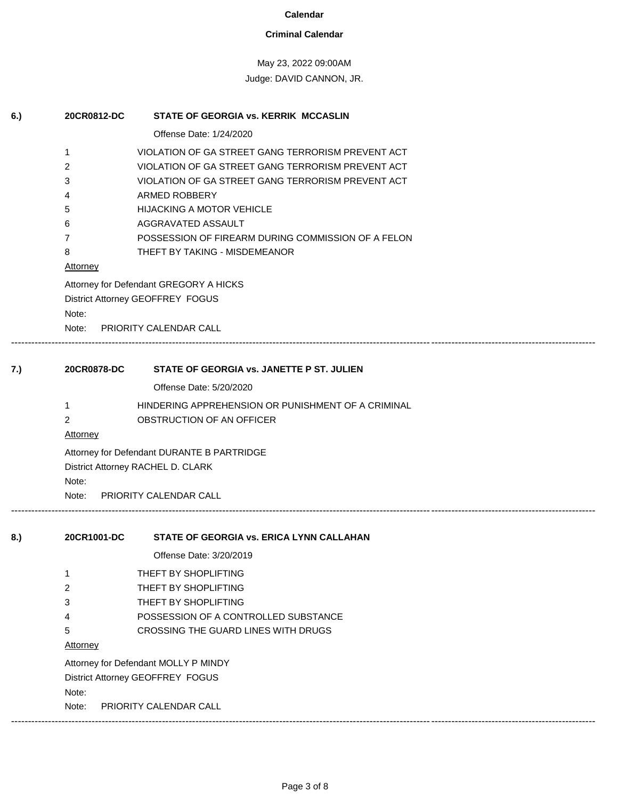## **Criminal Calendar**

May 23, 2022 09:00AM

| 6.) | 20CR0812-DC                       | STATE OF GEORGIA vs. KERRIK MCCASLIN                                       |  |  |  |
|-----|-----------------------------------|----------------------------------------------------------------------------|--|--|--|
|     |                                   | Offense Date: 1/24/2020                                                    |  |  |  |
|     | 1                                 | VIOLATION OF GA STREET GANG TERRORISM PREVENT ACT                          |  |  |  |
|     | 2                                 | VIOLATION OF GA STREET GANG TERRORISM PREVENT ACT                          |  |  |  |
|     | 3                                 | VIOLATION OF GA STREET GANG TERRORISM PREVENT ACT                          |  |  |  |
|     | 4                                 | ARMED ROBBERY                                                              |  |  |  |
|     | 5                                 | <b>HIJACKING A MOTOR VEHICLE</b>                                           |  |  |  |
|     | 6                                 | AGGRAVATED ASSAULT                                                         |  |  |  |
|     | 7                                 | POSSESSION OF FIREARM DURING COMMISSION OF A FELON                         |  |  |  |
|     | 8                                 | THEFT BY TAKING - MISDEMEANOR                                              |  |  |  |
|     | <b>Attorney</b>                   |                                                                            |  |  |  |
|     |                                   | Attorney for Defendant GREGORY A HICKS<br>District Attorney GEOFFREY FOGUS |  |  |  |
|     | Note:                             |                                                                            |  |  |  |
|     | Note:                             | PRIORITY CALENDAR CALL                                                     |  |  |  |
|     |                                   |                                                                            |  |  |  |
| 7.) | 20CR0878-DC                       | STATE OF GEORGIA vs. JANETTE P ST. JULIEN                                  |  |  |  |
|     |                                   | Offense Date: 5/20/2020                                                    |  |  |  |
|     | 1                                 | HINDERING APPREHENSION OR PUNISHMENT OF A CRIMINAL                         |  |  |  |
|     | $\overline{2}$                    | OBSTRUCTION OF AN OFFICER                                                  |  |  |  |
|     | <b>Attorney</b>                   |                                                                            |  |  |  |
|     |                                   | Attorney for Defendant DURANTE B PARTRIDGE                                 |  |  |  |
|     | District Attorney RACHEL D. CLARK |                                                                            |  |  |  |
|     | Note:                             |                                                                            |  |  |  |
|     | Note:                             | <b>PRIORITY CALENDAR CALL</b>                                              |  |  |  |
| 8.) | 20CR1001-DC                       | STATE OF GEORGIA vs. ERICA LYNN CALLAHAN                                   |  |  |  |
|     |                                   | Offense Date: 3/20/2019                                                    |  |  |  |
|     | 1                                 | THEFT BY SHOPLIFTING                                                       |  |  |  |
|     | 2                                 | THEFT BY SHOPLIFTING                                                       |  |  |  |
|     | 3                                 | THEFT BY SHOPLIFTING                                                       |  |  |  |
|     | 4                                 | POSSESSION OF A CONTROLLED SUBSTANCE                                       |  |  |  |
|     | 5                                 | CROSSING THE GUARD LINES WITH DRUGS                                        |  |  |  |
|     | <b>Attorney</b>                   |                                                                            |  |  |  |
|     |                                   | Attorney for Defendant MOLLY P MINDY                                       |  |  |  |
|     |                                   | District Attorney GEOFFREY FOGUS                                           |  |  |  |
|     | Note:                             |                                                                            |  |  |  |
|     | Note:                             | PRIORITY CALENDAR CALL                                                     |  |  |  |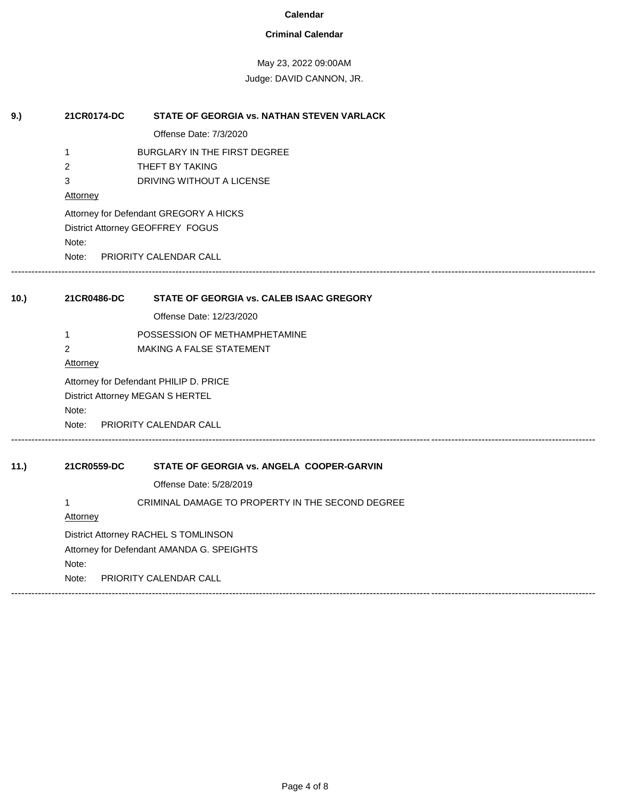### **Criminal Calendar**

May 23, 2022 09:00AM

| 9.)  | 21CR0174-DC                               | STATE OF GEORGIA vs. NATHAN STEVEN VARLACK       |  |  |
|------|-------------------------------------------|--------------------------------------------------|--|--|
|      |                                           | Offense Date: 7/3/2020                           |  |  |
|      | $\mathbf{1}$                              | BURGLARY IN THE FIRST DEGREE                     |  |  |
|      | 2                                         | THEFT BY TAKING                                  |  |  |
|      | 3                                         | DRIVING WITHOUT A LICENSE                        |  |  |
|      | Attorney                                  |                                                  |  |  |
|      |                                           | Attorney for Defendant GREGORY A HICKS           |  |  |
|      | District Attorney GEOFFREY FOGUS          |                                                  |  |  |
|      | Note:                                     |                                                  |  |  |
|      |                                           | Note: PRIORITY CALENDAR CALL                     |  |  |
| 10.) | 21CR0486-DC                               | STATE OF GEORGIA vs. CALEB ISAAC GREGORY         |  |  |
|      |                                           | Offense Date: 12/23/2020                         |  |  |
|      | 1                                         | POSSESSION OF METHAMPHETAMINE                    |  |  |
|      | 2                                         | MAKING A FALSE STATEMENT                         |  |  |
|      | Attorney                                  |                                                  |  |  |
|      |                                           | Attorney for Defendant PHILIP D. PRICE           |  |  |
|      | District Attorney MEGAN S HERTEL          |                                                  |  |  |
|      | Note:                                     |                                                  |  |  |
|      | Note:                                     | PRIORITY CALENDAR CALL                           |  |  |
| 11.) | 21CR0559-DC                               | STATE OF GEORGIA vs. ANGELA COOPER-GARVIN        |  |  |
|      |                                           | Offense Date: 5/28/2019                          |  |  |
|      | 1                                         | CRIMINAL DAMAGE TO PROPERTY IN THE SECOND DEGREE |  |  |
|      | Attorney                                  |                                                  |  |  |
|      | District Attorney RACHEL S TOMLINSON      |                                                  |  |  |
|      | Attorney for Defendant AMANDA G. SPEIGHTS |                                                  |  |  |
|      | Note:                                     |                                                  |  |  |
|      | Note:                                     | <b>PRIORITY CALENDAR CALL</b>                    |  |  |
|      |                                           |                                                  |  |  |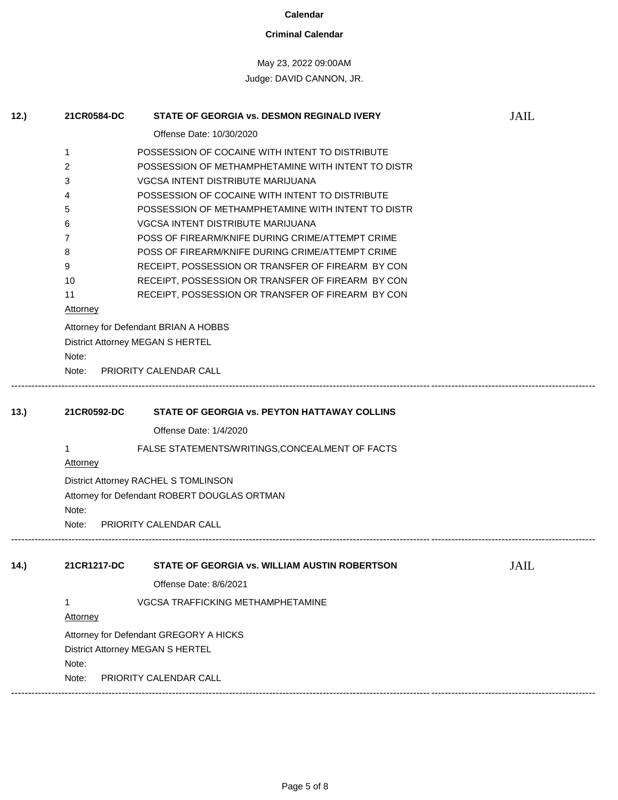#### **Criminal Calendar**

# May 23, 2022 09:00AM

| 12.) | 21CR0584-DC                                  | <b>STATE OF GEORGIA vs. DESMON REGINALD IVERY</b>  | <b>JAIL</b> |  |  |  |
|------|----------------------------------------------|----------------------------------------------------|-------------|--|--|--|
|      |                                              | Offense Date: 10/30/2020                           |             |  |  |  |
|      | 1                                            | POSSESSION OF COCAINE WITH INTENT TO DISTRIBUTE    |             |  |  |  |
|      | 2                                            | POSSESSION OF METHAMPHETAMINE WITH INTENT TO DISTR |             |  |  |  |
|      | 3                                            | VGCSA INTENT DISTRIBUTE MARIJUANA                  |             |  |  |  |
|      | 4                                            | POSSESSION OF COCAINE WITH INTENT TO DISTRIBUTE    |             |  |  |  |
|      | 5                                            | POSSESSION OF METHAMPHETAMINE WITH INTENT TO DISTR |             |  |  |  |
|      | 6                                            | <b>VGCSA INTENT DISTRIBUTE MARIJUANA</b>           |             |  |  |  |
|      | 7                                            | POSS OF FIREARM/KNIFE DURING CRIME/ATTEMPT CRIME   |             |  |  |  |
|      | 8                                            | POSS OF FIREARM/KNIFE DURING CRIME/ATTEMPT CRIME   |             |  |  |  |
|      | 9                                            | RECEIPT, POSSESSION OR TRANSFER OF FIREARM BY CON  |             |  |  |  |
|      | 10                                           | RECEIPT, POSSESSION OR TRANSFER OF FIREARM BY CON  |             |  |  |  |
|      | 11                                           | RECEIPT, POSSESSION OR TRANSFER OF FIREARM BY CON  |             |  |  |  |
|      | <b>Attorney</b>                              |                                                    |             |  |  |  |
|      | Attorney for Defendant BRIAN A HOBBS         |                                                    |             |  |  |  |
|      |                                              | District Attorney MEGAN S HERTEL                   |             |  |  |  |
|      | Note:                                        |                                                    |             |  |  |  |
|      | Note:                                        | PRIORITY CALENDAR CALL                             |             |  |  |  |
|      |                                              |                                                    |             |  |  |  |
| 13.  | 21CR0592-DC                                  | STATE OF GEORGIA vs. PEYTON HATTAWAY COLLINS       |             |  |  |  |
|      |                                              | Offense Date: 1/4/2020                             |             |  |  |  |
|      | 1                                            | FALSE STATEMENTS/WRITINGS, CONCEALMENT OF FACTS    |             |  |  |  |
|      | <b>Attorney</b>                              |                                                    |             |  |  |  |
|      | District Attorney RACHEL S TOMLINSON         |                                                    |             |  |  |  |
|      | Attorney for Defendant ROBERT DOUGLAS ORTMAN |                                                    |             |  |  |  |
|      | Note:                                        |                                                    |             |  |  |  |
|      | Note:                                        | PRIORITY CALENDAR CALL                             |             |  |  |  |
|      |                                              |                                                    |             |  |  |  |
| 14.) | 21CR1217-DC                                  | STATE OF GEORGIA vs. WILLIAM AUSTIN ROBERTSON      | <b>JAIL</b> |  |  |  |
|      |                                              |                                                    |             |  |  |  |
|      |                                              | Offense Date: 8/6/2021                             |             |  |  |  |
|      | 1                                            | VGCSA TRAFFICKING METHAMPHETAMINE                  |             |  |  |  |
|      | <b>Attorney</b>                              |                                                    |             |  |  |  |
|      | Attorney for Defendant GREGORY A HICKS       |                                                    |             |  |  |  |
|      | District Attorney MEGAN S HERTEL             |                                                    |             |  |  |  |
|      | Note:                                        |                                                    |             |  |  |  |
|      | Note:                                        | PRIORITY CALENDAR CALL                             |             |  |  |  |
|      |                                              |                                                    |             |  |  |  |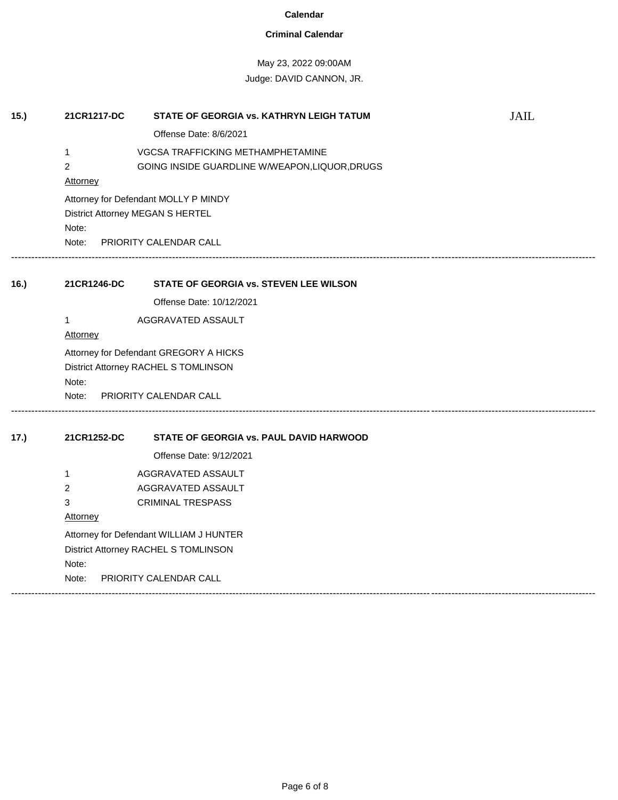## **Criminal Calendar**

# May 23, 2022 09:00AM

| 15.  | 21CR1217-DC                             | STATE OF GEORGIA vs. KATHRYN LEIGH TATUM       | <b>JAIL</b> |  |  |
|------|-----------------------------------------|------------------------------------------------|-------------|--|--|
|      |                                         | Offense Date: 8/6/2021                         |             |  |  |
|      | 1                                       | VGCSA TRAFFICKING METHAMPHETAMINE              |             |  |  |
|      | $\overline{c}$                          | GOING INSIDE GUARDLINE W/WEAPON, LIQUOR, DRUGS |             |  |  |
|      | <b>Attorney</b>                         |                                                |             |  |  |
|      | Attorney for Defendant MOLLY P MINDY    |                                                |             |  |  |
|      | District Attorney MEGAN S HERTEL        |                                                |             |  |  |
|      | Note:                                   |                                                |             |  |  |
|      | Note: PRIORITY CALENDAR CALL            |                                                |             |  |  |
|      |                                         |                                                |             |  |  |
| 16.) | 21CR1246-DC                             | STATE OF GEORGIA vs. STEVEN LEE WILSON         |             |  |  |
|      |                                         | Offense Date: 10/12/2021                       |             |  |  |
|      | 1                                       | AGGRAVATED ASSAULT                             |             |  |  |
|      | Attorney                                |                                                |             |  |  |
|      | Attorney for Defendant GREGORY A HICKS  |                                                |             |  |  |
|      | District Attorney RACHEL S TOMLINSON    |                                                |             |  |  |
|      | Note:<br>Note:                          | <b>PRIORITY CALENDAR CALL</b>                  |             |  |  |
|      |                                         |                                                |             |  |  |
| 17.) | 21CR1252-DC                             | STATE OF GEORGIA vs. PAUL DAVID HARWOOD        |             |  |  |
|      |                                         | Offense Date: 9/12/2021                        |             |  |  |
|      | 1                                       | AGGRAVATED ASSAULT                             |             |  |  |
|      | 2                                       | AGGRAVATED ASSAULT                             |             |  |  |
|      | 3                                       | <b>CRIMINAL TRESPASS</b>                       |             |  |  |
|      | <b>Attorney</b>                         |                                                |             |  |  |
|      | Attorney for Defendant WILLIAM J HUNTER |                                                |             |  |  |
|      | District Attorney RACHEL S TOMLINSON    |                                                |             |  |  |
|      | Note:                                   |                                                |             |  |  |
|      | Note:                                   | PRIORITY CALENDAR CALL                         |             |  |  |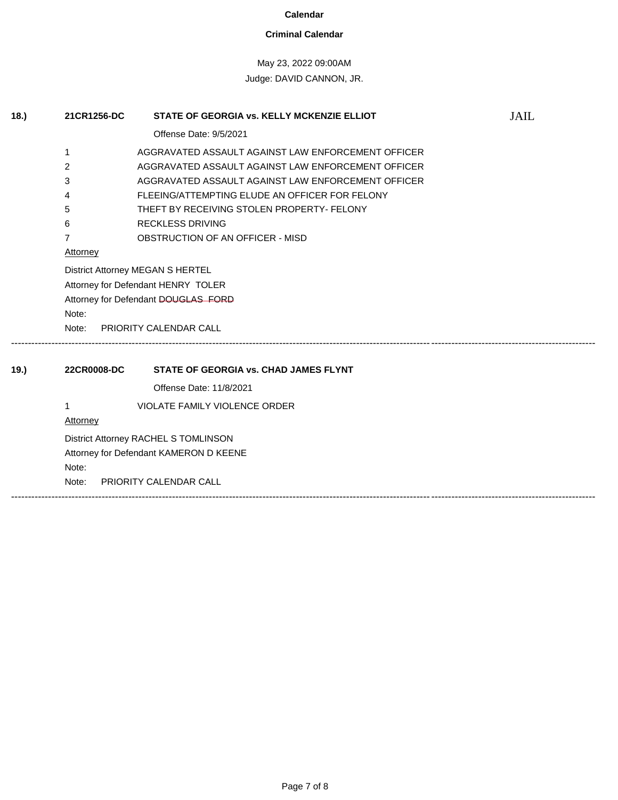#### **Criminal Calendar**

# May 23, 2022 09:00AM Judge: DAVID CANNON, JR.

**18.) 21CR1256-DC STATE OF GEORGIA vs. KELLY MCKENZIE ELLIOT** JAIL Offense Date: 9/5/2021 1 AGGRAVATED ASSAULT AGAINST LAW ENFORCEMENT OFFICER 2 AGGRAVATED ASSAULT AGAINST LAW ENFORCEMENT OFFICER 3 AGGRAVATED ASSAULT AGAINST LAW ENFORCEMENT OFFICER 4 FLEEING/ATTEMPTING ELUDE AN OFFICER FOR FELONY 5 THEFT BY RECEIVING STOLEN PROPERTY- FELONY 6 RECKLESS DRIVING 7 OBSTRUCTION OF AN OFFICER - MISD **Attorney** District Attorney MEGAN S HERTEL Attorney for Defendant HENRY TOLER Attorney for Defendant DOUGLAS FORD Note: Note: PRIORITY CALENDAR CALL ------------------------------------------------------------------------------------------------------------------------------------------------------------------------------ **19.) 22CR0008-DC STATE OF GEORGIA vs. CHAD JAMES FLYNT**  Offense Date: 11/8/2021 1 VIOLATE FAMILY VIOLENCE ORDER **Attorney** District Attorney RACHEL S TOMLINSON Attorney for Defendant KAMERON D KEENE Note: Note: PRIORITY CALENDAR CALL ------------------------------------------------------------------------------------------------------------------------------------------------------------------------------